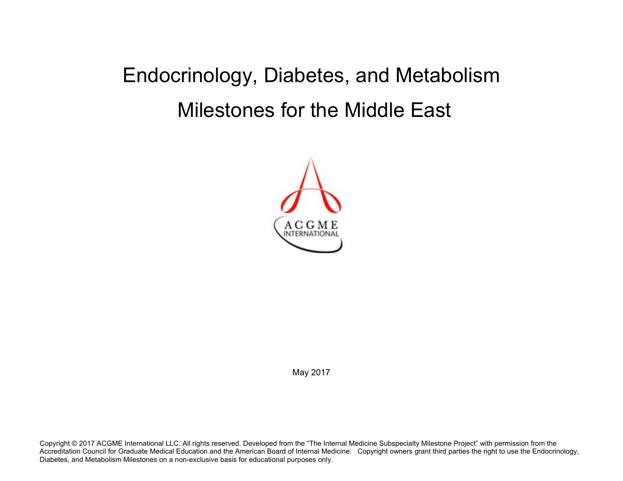## Endocrinology, Diabetes, and Metabolism Milestones for the Middle East



May 2017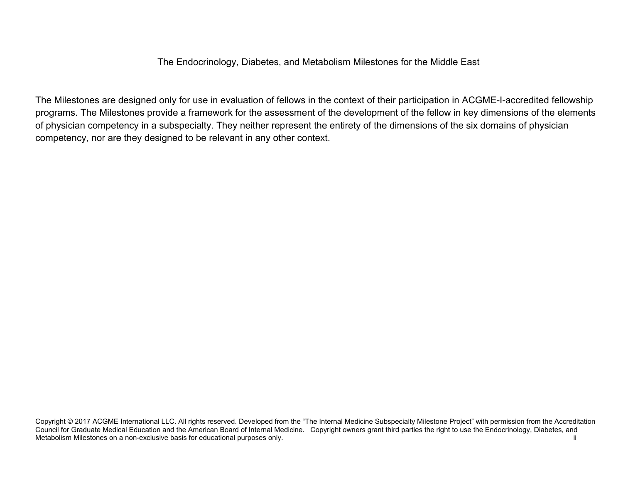The Endocrinology, Diabetes, and Metabolism Milestones for the Middle East

The Milestones are designed only for use in evaluation of fellows in the context of their participation in ACGME-I-accredited fellowship programs. The Milestones provide a framework for the assessment of the development of the fellow in key dimensions of the elements of physician competency in a subspecialty. They neither represent the entirety of the dimensions of the six domains of physician competency, nor are they designed to be relevant in any other context.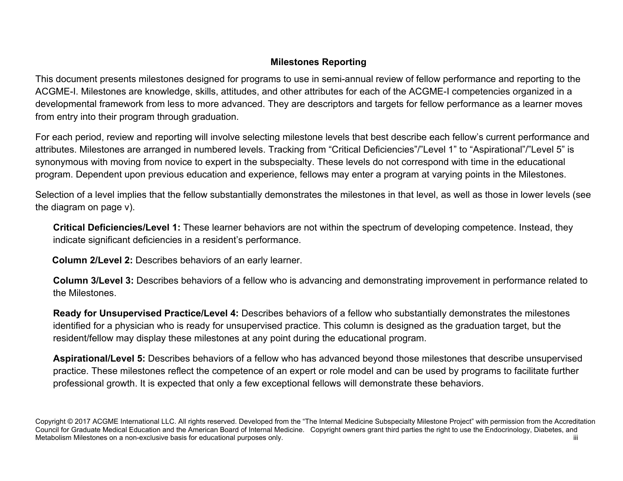## **Milestones Reporting**

This document presents milestones designed for programs to use in semi-annual review of fellow performance and reporting to the ACGME-I. Milestones are knowledge, skills, attitudes, and other attributes for each of the ACGME-I competencies organized in a developmental framework from less to more advanced. They are descriptors and targets for fellow performance as a learner moves from entry into their program through graduation.

For each period, review and reporting will involve selecting milestone levels that best describe each fellow's current performance and attributes. Milestones are arranged in numbered levels. Tracking from "Critical Deficiencies"/"Level 1" to "Aspirational"/"Level 5" is synonymous with moving from novice to expert in the subspecialty. These levels do not correspond with time in the educational program. Dependent upon previous education and experience, fellows may enter a program at varying points in the Milestones.

Selection of a level implies that the fellow substantially demonstrates the milestones in that level, as well as those in lower levels (see the diagram on page v).

**Critical Deficiencies/Level 1:** These learner behaviors are not within the spectrum of developing competence. Instead, they indicate significant deficiencies in a resident's performance.

 **Column 2/Level 2:** Describes behaviors of an early learner.

**Column 3/Level 3:** Describes behaviors of a fellow who is advancing and demonstrating improvement in performance related to the Milestones.

**Ready for Unsupervised Practice/Level 4:** Describes behaviors of a fellow who substantially demonstrates the milestones identified for a physician who is ready for unsupervised practice. This column is designed as the graduation target, but the resident/fellow may display these milestones at any point during the educational program.

**Aspirational/Level 5:** Describes behaviors of a fellow who has advanced beyond those milestones that describe unsupervised practice. These milestones reflect the competence of an expert or role model and can be used by programs to facilitate further professional growth. It is expected that only a few exceptional fellows will demonstrate these behaviors.

Copyright © 2017 ACGME International LLC. All rights reserved. Developed from the "The Internal Medicine Subspecialty Milestone Project" with permission from the Accreditation Council for Graduate Medical Education and the American Board of Internal Medicine. Copyright owners grant third parties the right to use the Endocrinology, Diabetes, and Metabolism Milestones on a non-exclusive basis for educational purposes only.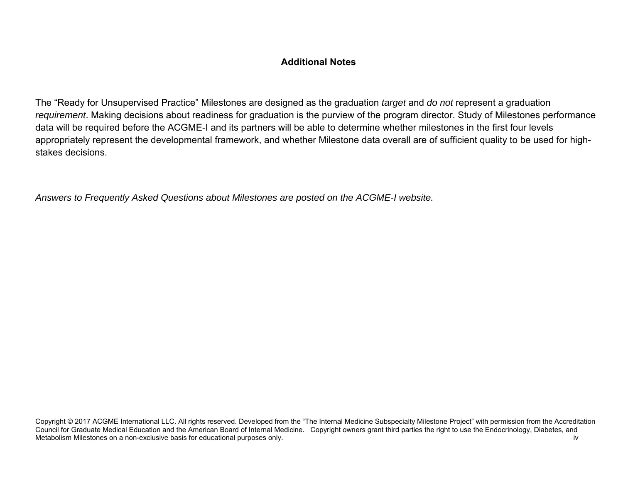## **Additional Notes**

The "Ready for Unsupervised Practice" Milestones are designed as the graduation *target* and *do not* represent a graduation *requirement*. Making decisions about readiness for graduation is the purview of the program director. Study of Milestones performance data will be required before the ACGME-I and its partners will be able to determine whether milestones in the first four levels appropriately represent the developmental framework, and whether Milestone data overall are of sufficient quality to be used for highstakes decisions.

*Answers to Frequently Asked Questions about Milestones are posted on the ACGME-I website.*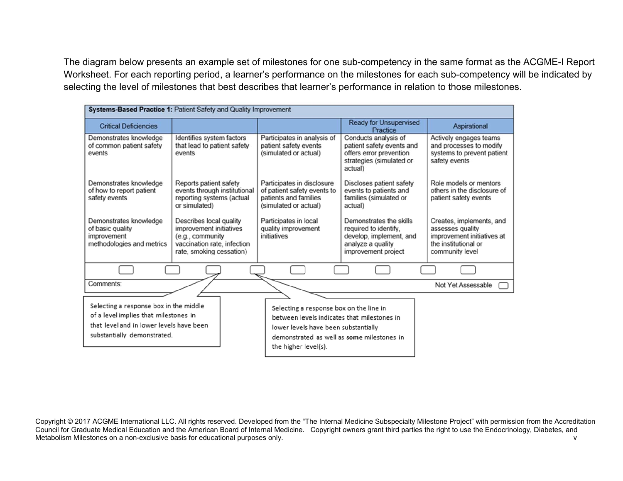The diagram below presents an example set of milestones for one sub-competency in the same format as the ACGME-I Report Worksheet. For each reporting period, a learner's performance on the milestones for each sub-competency will be indicated by selecting the level of milestones that best describes that learner's performance in relation to those milestones.

| Systems-Based Practice 1: Patient Safety and Quality Improvement                                                                                           |                                                                                                                                   |                                                                                                                                                                                                      |                                                                                                                         |                                                                                                                       |  |  |
|------------------------------------------------------------------------------------------------------------------------------------------------------------|-----------------------------------------------------------------------------------------------------------------------------------|------------------------------------------------------------------------------------------------------------------------------------------------------------------------------------------------------|-------------------------------------------------------------------------------------------------------------------------|-----------------------------------------------------------------------------------------------------------------------|--|--|
| <b>Critical Deficiencies</b>                                                                                                                               |                                                                                                                                   |                                                                                                                                                                                                      | <b>Ready for Unsupervised</b><br>Practice                                                                               | <b>Aspirational</b>                                                                                                   |  |  |
| Demonstrates knowledge<br>of common patient safety<br>events                                                                                               | Identifies system factors<br>that lead to patient safety<br>events                                                                | Participates in analysis of<br>patient safety events<br>(simulated or actual)                                                                                                                        | Conducts analysis of<br>patient safety events and<br>offers error prevention<br>strategies (simulated or<br>actual)     | Actively engages teams<br>and processes to modify<br>systems to prevent patient<br>safety events                      |  |  |
| Demonstrates knowledge<br>of how to report patient<br>safety events                                                                                        | Reports patient safety<br>events through institutional<br>reporting systems (actual<br>or simulated)                              | Participates in disclosure<br>of patient safety events to<br>patients and families<br>(simulated or actual)                                                                                          | Discloses patient safety<br>events to patients and<br>families (simulated or<br>actual)                                 | Role models or mentors<br>others in the disclosure of<br>patient safety events                                        |  |  |
| Demonstrates knowledge<br>of basic quality<br>improvement<br>methodologies and metrics                                                                     | Describes local quality<br>improvement initiatives<br>(e.g., community<br>vaccination rate, infection<br>rate, smoking cessation) | Participates in local<br>quality improvement<br>initiatives                                                                                                                                          | Demonstrates the skills<br>required to identify.<br>develop, implement, and<br>analyze a quality<br>improvement project | Creates, implements, and<br>assesses quality<br>improvement initiatives at<br>the institutional or<br>community level |  |  |
|                                                                                                                                                            |                                                                                                                                   |                                                                                                                                                                                                      |                                                                                                                         |                                                                                                                       |  |  |
| Comments:                                                                                                                                                  |                                                                                                                                   |                                                                                                                                                                                                      |                                                                                                                         | Not Yet Assessable                                                                                                    |  |  |
| Selecting a response box in the middle<br>of a level implies that milestones in<br>that level and in lower levels have been<br>substantially demonstrated. |                                                                                                                                   | Selecting a response box on the line in<br>between levels indicates that milestones in<br>lower levels have been substantially<br>demonstrated as well as some milestones in<br>the higher level(s). |                                                                                                                         |                                                                                                                       |  |  |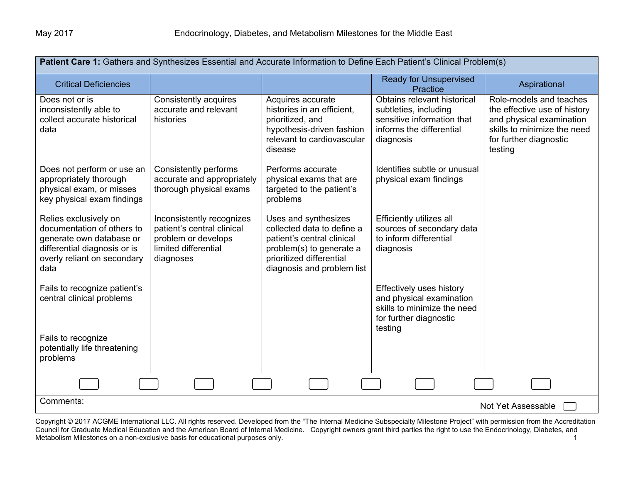| Patient Care 1: Gathers and Synthesizes Essential and Accurate Information to Define Each Patient's Clinical Problem(s)                                |                                                                                                                     |                                                                                                                                                                        |                                                                                                                             |                                                                                                                                                         |  |  |
|--------------------------------------------------------------------------------------------------------------------------------------------------------|---------------------------------------------------------------------------------------------------------------------|------------------------------------------------------------------------------------------------------------------------------------------------------------------------|-----------------------------------------------------------------------------------------------------------------------------|---------------------------------------------------------------------------------------------------------------------------------------------------------|--|--|
| <b>Critical Deficiencies</b>                                                                                                                           |                                                                                                                     |                                                                                                                                                                        | <b>Ready for Unsupervised</b><br>Practice                                                                                   | Aspirational                                                                                                                                            |  |  |
| Does not or is<br>inconsistently able to<br>collect accurate historical<br>data                                                                        | Consistently acquires<br>accurate and relevant<br>histories                                                         | Acquires accurate<br>histories in an efficient.<br>prioritized, and<br>hypothesis-driven fashion<br>relevant to cardiovascular<br>disease                              | Obtains relevant historical<br>subtleties, including<br>sensitive information that<br>informs the differential<br>diagnosis | Role-models and teaches<br>the effective use of history<br>and physical examination<br>skills to minimize the need<br>for further diagnostic<br>testing |  |  |
| Does not perform or use an<br>appropriately thorough<br>physical exam, or misses<br>key physical exam findings                                         | Consistently performs<br>accurate and appropriately<br>thorough physical exams                                      | Performs accurate<br>physical exams that are<br>targeted to the patient's<br>problems                                                                                  | Identifies subtle or unusual<br>physical exam findings                                                                      |                                                                                                                                                         |  |  |
| Relies exclusively on<br>documentation of others to<br>generate own database or<br>differential diagnosis or is<br>overly reliant on secondary<br>data | Inconsistently recognizes<br>patient's central clinical<br>problem or develops<br>limited differential<br>diagnoses | Uses and synthesizes<br>collected data to define a<br>patient's central clinical<br>problem(s) to generate a<br>prioritized differential<br>diagnosis and problem list | Efficiently utilizes all<br>sources of secondary data<br>to inform differential<br>diagnosis                                |                                                                                                                                                         |  |  |
| Fails to recognize patient's<br>central clinical problems                                                                                              |                                                                                                                     |                                                                                                                                                                        | Effectively uses history<br>and physical examination<br>skills to minimize the need<br>for further diagnostic<br>testing    |                                                                                                                                                         |  |  |
| Fails to recognize<br>potentially life threatening<br>problems                                                                                         |                                                                                                                     |                                                                                                                                                                        |                                                                                                                             |                                                                                                                                                         |  |  |
|                                                                                                                                                        |                                                                                                                     |                                                                                                                                                                        |                                                                                                                             |                                                                                                                                                         |  |  |
| Comments:                                                                                                                                              |                                                                                                                     |                                                                                                                                                                        |                                                                                                                             | Not Yet Assessable                                                                                                                                      |  |  |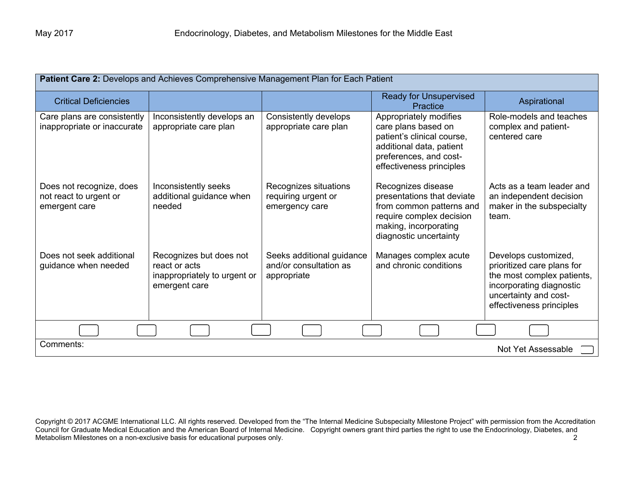| Patient Care 2: Develops and Achieves Comprehensive Management Plan for Each Patient |                                                                                           |                                                                    |                                                                                                                                                               |                                                                                                                                                                   |  |  |
|--------------------------------------------------------------------------------------|-------------------------------------------------------------------------------------------|--------------------------------------------------------------------|---------------------------------------------------------------------------------------------------------------------------------------------------------------|-------------------------------------------------------------------------------------------------------------------------------------------------------------------|--|--|
| <b>Critical Deficiencies</b>                                                         |                                                                                           |                                                                    | <b>Ready for Unsupervised</b><br>Practice                                                                                                                     | Aspirational                                                                                                                                                      |  |  |
| Care plans are consistently<br>inappropriate or inaccurate                           | Inconsistently develops an<br>appropriate care plan                                       | Consistently develops<br>appropriate care plan                     | Appropriately modifies<br>care plans based on<br>patient's clinical course,<br>additional data, patient<br>preferences, and cost-<br>effectiveness principles | Role-models and teaches<br>complex and patient-<br>centered care                                                                                                  |  |  |
| Does not recognize, does<br>not react to urgent or<br>emergent care                  | Inconsistently seeks<br>additional guidance when<br>needed                                | Recognizes situations<br>requiring urgent or<br>emergency care     | Recognizes disease<br>presentations that deviate<br>from common patterns and<br>require complex decision<br>making, incorporating<br>diagnostic uncertainty   | Acts as a team leader and<br>an independent decision<br>maker in the subspecialty<br>team.                                                                        |  |  |
| Does not seek additional<br>guidance when needed                                     | Recognizes but does not<br>react or acts<br>inappropriately to urgent or<br>emergent care | Seeks additional guidance<br>and/or consultation as<br>appropriate | Manages complex acute<br>and chronic conditions                                                                                                               | Develops customized,<br>prioritized care plans for<br>the most complex patients,<br>incorporating diagnostic<br>uncertainty and cost-<br>effectiveness principles |  |  |
|                                                                                      |                                                                                           |                                                                    |                                                                                                                                                               |                                                                                                                                                                   |  |  |
| Comments:                                                                            |                                                                                           |                                                                    |                                                                                                                                                               | Not Yet Assessable                                                                                                                                                |  |  |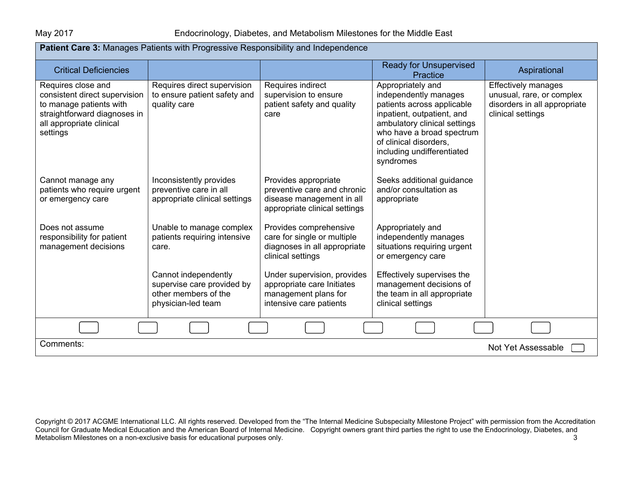| Patient Care 3: Manages Patients with Progressive Responsibility and Independence                                                                      |                                                                                                  |                                                                                                                   |                                                                                                                                                                                                                                          |                                                                                                              |  |
|--------------------------------------------------------------------------------------------------------------------------------------------------------|--------------------------------------------------------------------------------------------------|-------------------------------------------------------------------------------------------------------------------|------------------------------------------------------------------------------------------------------------------------------------------------------------------------------------------------------------------------------------------|--------------------------------------------------------------------------------------------------------------|--|
| <b>Critical Deficiencies</b>                                                                                                                           |                                                                                                  |                                                                                                                   | <b>Ready for Unsupervised</b><br><b>Practice</b>                                                                                                                                                                                         | Aspirational                                                                                                 |  |
| Requires close and<br>consistent direct supervision<br>to manage patients with<br>straightforward diagnoses in<br>all appropriate clinical<br>settings | Requires direct supervision<br>to ensure patient safety and<br>quality care                      | Requires indirect<br>supervision to ensure<br>patient safety and quality<br>care                                  | Appropriately and<br>independently manages<br>patients across applicable<br>inpatient, outpatient, and<br>ambulatory clinical settings<br>who have a broad spectrum<br>of clinical disorders,<br>including undifferentiated<br>syndromes | <b>Effectively manages</b><br>unusual, rare, or complex<br>disorders in all appropriate<br>clinical settings |  |
| Cannot manage any<br>patients who require urgent<br>or emergency care                                                                                  | Inconsistently provides<br>preventive care in all<br>appropriate clinical settings               | Provides appropriate<br>preventive care and chronic<br>disease management in all<br>appropriate clinical settings | Seeks additional guidance<br>and/or consultation as<br>appropriate                                                                                                                                                                       |                                                                                                              |  |
| Does not assume<br>responsibility for patient<br>management decisions                                                                                  | Unable to manage complex<br>patients requiring intensive<br>care.                                | Provides comprehensive<br>care for single or multiple<br>diagnoses in all appropriate<br>clinical settings        | Appropriately and<br>independently manages<br>situations requiring urgent<br>or emergency care                                                                                                                                           |                                                                                                              |  |
|                                                                                                                                                        | Cannot independently<br>supervise care provided by<br>other members of the<br>physician-led team | Under supervision, provides<br>appropriate care Initiates<br>management plans for<br>intensive care patients      | Effectively supervises the<br>management decisions of<br>the team in all appropriate<br>clinical settings                                                                                                                                |                                                                                                              |  |
|                                                                                                                                                        |                                                                                                  |                                                                                                                   |                                                                                                                                                                                                                                          |                                                                                                              |  |
| Comments:                                                                                                                                              |                                                                                                  |                                                                                                                   |                                                                                                                                                                                                                                          | Not Yet Assessable                                                                                           |  |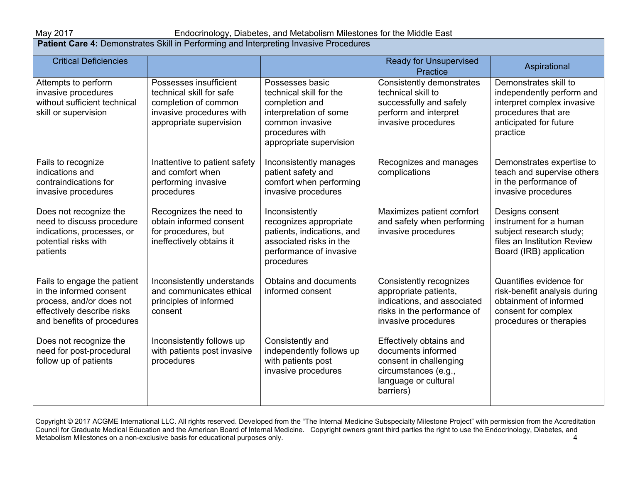## May 2017 Endocrinology, Diabetes, and Metabolism Milestones for the Middle East

**Patient Care 4:** Demonstrates Skill in Performing and Interpreting Invasive Procedures

| <b>Critical Deficiencies</b>                                                                                                                   |                                                                                                                                   |                                                                                                                                                         | <b>Ready for Unsupervised</b><br>Practice                                                                                             | Aspirational                                                                                                                                  |
|------------------------------------------------------------------------------------------------------------------------------------------------|-----------------------------------------------------------------------------------------------------------------------------------|---------------------------------------------------------------------------------------------------------------------------------------------------------|---------------------------------------------------------------------------------------------------------------------------------------|-----------------------------------------------------------------------------------------------------------------------------------------------|
| Attempts to perform<br>invasive procedures<br>without sufficient technical<br>skill or supervision                                             | Possesses insufficient<br>technical skill for safe<br>completion of common<br>invasive procedures with<br>appropriate supervision | Possesses basic<br>technical skill for the<br>completion and<br>interpretation of some<br>common invasive<br>procedures with<br>appropriate supervision | Consistently demonstrates<br>technical skill to<br>successfully and safely<br>perform and interpret<br>invasive procedures            | Demonstrates skill to<br>independently perform and<br>interpret complex invasive<br>procedures that are<br>anticipated for future<br>practice |
| Fails to recognize<br>indications and<br>contraindications for<br>invasive procedures                                                          | Inattentive to patient safety<br>and comfort when<br>performing invasive<br>procedures                                            | Inconsistently manages<br>patient safety and<br>comfort when performing<br>invasive procedures                                                          | Recognizes and manages<br>complications                                                                                               | Demonstrates expertise to<br>teach and supervise others<br>in the performance of<br>invasive procedures                                       |
| Does not recognize the<br>need to discuss procedure<br>indications, processes, or<br>potential risks with<br>patients                          | Recognizes the need to<br>obtain informed consent<br>for procedures, but<br>ineffectively obtains it                              | Inconsistently<br>recognizes appropriate<br>patients, indications, and<br>associated risks in the<br>performance of invasive<br>procedures              | Maximizes patient comfort<br>and safety when performing<br>invasive procedures                                                        | Designs consent<br>instrument for a human<br>subject research study;<br>files an Institution Review<br>Board (IRB) application                |
| Fails to engage the patient<br>in the informed consent<br>process, and/or does not<br>effectively describe risks<br>and benefits of procedures | Inconsistently understands<br>and communicates ethical<br>principles of informed<br>consent                                       | Obtains and documents<br>informed consent                                                                                                               | Consistently recognizes<br>appropriate patients,<br>indications, and associated<br>risks in the performance of<br>invasive procedures | Quantifies evidence for<br>risk-benefit analysis during<br>obtainment of informed<br>consent for complex<br>procedures or therapies           |
| Does not recognize the<br>need for post-procedural<br>follow up of patients                                                                    | Inconsistently follows up<br>with patients post invasive<br>procedures                                                            | Consistently and<br>independently follows up<br>with patients post<br>invasive procedures                                                               | Effectively obtains and<br>documents informed<br>consent in challenging<br>circumstances (e.g.,<br>language or cultural<br>barriers)  |                                                                                                                                               |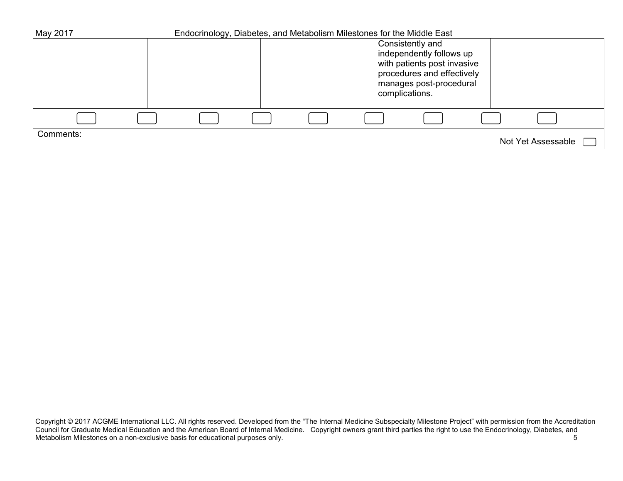| May 2017  |  | Endocrinology, Diabetes, and Metabolism Milestones for the Middle East |                                                                                                                                                        |  |                    |  |
|-----------|--|------------------------------------------------------------------------|--------------------------------------------------------------------------------------------------------------------------------------------------------|--|--------------------|--|
|           |  |                                                                        | Consistently and<br>independently follows up<br>with patients post invasive<br>procedures and effectively<br>manages post-procedural<br>complications. |  |                    |  |
|           |  |                                                                        |                                                                                                                                                        |  |                    |  |
|           |  |                                                                        |                                                                                                                                                        |  |                    |  |
| Comments: |  |                                                                        |                                                                                                                                                        |  | Not Yet Assessable |  |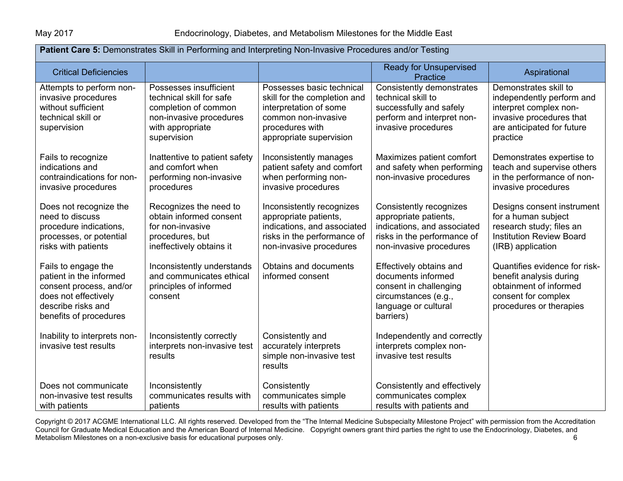| Patient Care 5: Demonstrates Skill in Performing and Interpreting Non-Invasive Procedures and/or Testing                                          |                                                                                                                                          |                                                                                                                                                          |                                                                                                                                           |                                                                                                                                                    |  |  |
|---------------------------------------------------------------------------------------------------------------------------------------------------|------------------------------------------------------------------------------------------------------------------------------------------|----------------------------------------------------------------------------------------------------------------------------------------------------------|-------------------------------------------------------------------------------------------------------------------------------------------|----------------------------------------------------------------------------------------------------------------------------------------------------|--|--|
| <b>Critical Deficiencies</b>                                                                                                                      |                                                                                                                                          |                                                                                                                                                          | <b>Ready for Unsupervised</b><br><b>Practice</b>                                                                                          | Aspirational                                                                                                                                       |  |  |
| Attempts to perform non-<br>invasive procedures<br>without sufficient<br>technical skill or<br>supervision                                        | Possesses insufficient<br>technical skill for safe<br>completion of common<br>non-invasive procedures<br>with appropriate<br>supervision | Possesses basic technical<br>skill for the completion and<br>interpretation of some<br>common non-invasive<br>procedures with<br>appropriate supervision | Consistently demonstrates<br>technical skill to<br>successfully and safely<br>perform and interpret non-<br>invasive procedures           | Demonstrates skill to<br>independently perform and<br>interpret complex non-<br>invasive procedures that<br>are anticipated for future<br>practice |  |  |
| Fails to recognize<br>indications and<br>contraindications for non-<br>invasive procedures                                                        | Inattentive to patient safety<br>and comfort when<br>performing non-invasive<br>procedures                                               | Inconsistently manages<br>patient safety and comfort<br>when performing non-<br>invasive procedures                                                      | Maximizes patient comfort<br>and safety when performing<br>non-invasive procedures                                                        | Demonstrates expertise to<br>teach and supervise others<br>in the performance of non-<br>invasive procedures                                       |  |  |
| Does not recognize the<br>need to discuss<br>procedure indications,<br>processes, or potential<br>risks with patients                             | Recognizes the need to<br>obtain informed consent<br>for non-invasive<br>procedures, but<br>ineffectively obtains it                     | Inconsistently recognizes<br>appropriate patients,<br>indications, and associated<br>risks in the performance of<br>non-invasive procedures              | Consistently recognizes<br>appropriate patients,<br>indications, and associated<br>risks in the performance of<br>non-invasive procedures | Designs consent instrument<br>for a human subject<br>research study; files an<br><b>Institution Review Board</b><br>(IRB) application              |  |  |
| Fails to engage the<br>patient in the informed<br>consent process, and/or<br>does not effectively<br>describe risks and<br>benefits of procedures | Inconsistently understands<br>and communicates ethical<br>principles of informed<br>consent                                              | Obtains and documents<br>informed consent                                                                                                                | Effectively obtains and<br>documents informed<br>consent in challenging<br>circumstances (e.g.,<br>language or cultural<br>barriers)      | Quantifies evidence for risk-<br>benefit analysis during<br>obtainment of informed<br>consent for complex<br>procedures or therapies               |  |  |
| Inability to interprets non-<br>invasive test results                                                                                             | Inconsistently correctly<br>interprets non-invasive test<br>results                                                                      | Consistently and<br>accurately interprets<br>simple non-invasive test<br>results                                                                         | Independently and correctly<br>interprets complex non-<br>invasive test results                                                           |                                                                                                                                                    |  |  |
| Does not communicate<br>non-invasive test results<br>with patients                                                                                | Inconsistently<br>communicates results with<br>patients                                                                                  | Consistently<br>communicates simple<br>results with patients                                                                                             | Consistently and effectively<br>communicates complex<br>results with patients and                                                         |                                                                                                                                                    |  |  |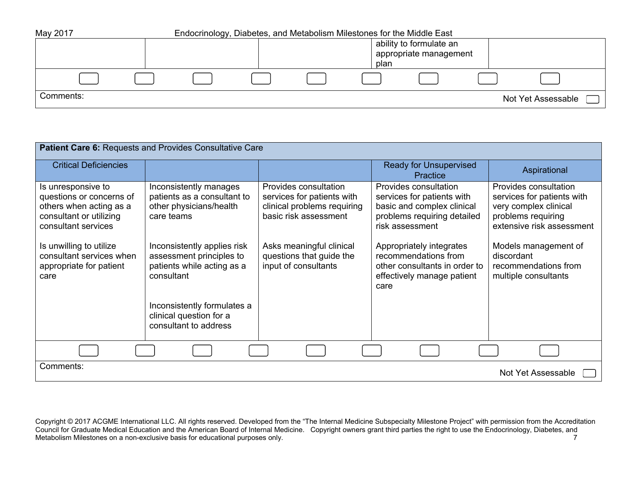| May 2017  | Endocrinology, Diabetes, and Metabolism Milestones for the Middle East |  |  |      |                                                   |                    |
|-----------|------------------------------------------------------------------------|--|--|------|---------------------------------------------------|--------------------|
|           |                                                                        |  |  | plan | ability to formulate an<br>appropriate management |                    |
|           |                                                                        |  |  |      |                                                   |                    |
| Comments: |                                                                        |  |  |      |                                                   | Not Yet Assessable |

| Patient Care 6: Requests and Provides Consultative Care                                                                     |                                                                                                     |                                                                                                             |                                                                                                                                     |                                                                                                                                 |  |  |
|-----------------------------------------------------------------------------------------------------------------------------|-----------------------------------------------------------------------------------------------------|-------------------------------------------------------------------------------------------------------------|-------------------------------------------------------------------------------------------------------------------------------------|---------------------------------------------------------------------------------------------------------------------------------|--|--|
| <b>Critical Deficiencies</b>                                                                                                |                                                                                                     |                                                                                                             | <b>Ready for Unsupervised</b><br>Practice                                                                                           | Aspirational                                                                                                                    |  |  |
| Is unresponsive to<br>questions or concerns of<br>others when acting as a<br>consultant or utilizing<br>consultant services | Inconsistently manages<br>patients as a consultant to<br>other physicians/health<br>care teams      | Provides consultation<br>services for patients with<br>clinical problems requiring<br>basic risk assessment | Provides consultation<br>services for patients with<br>basic and complex clinical<br>problems requiring detailed<br>risk assessment | Provides consultation<br>services for patients with<br>very complex clinical<br>problems requiring<br>extensive risk assessment |  |  |
| Is unwilling to utilize<br>consultant services when<br>appropriate for patient<br>care                                      | Inconsistently applies risk<br>assessment principles to<br>patients while acting as a<br>consultant | Asks meaningful clinical<br>questions that guide the<br>input of consultants                                | Appropriately integrates<br>recommendations from<br>other consultants in order to<br>effectively manage patient<br>care             | Models management of<br>discordant<br>recommendations from<br>multiple consultants                                              |  |  |
|                                                                                                                             | Inconsistently formulates a<br>clinical question for a<br>consultant to address                     |                                                                                                             |                                                                                                                                     |                                                                                                                                 |  |  |
|                                                                                                                             |                                                                                                     |                                                                                                             |                                                                                                                                     |                                                                                                                                 |  |  |
| Comments:                                                                                                                   |                                                                                                     |                                                                                                             |                                                                                                                                     | Not Yet Assessable                                                                                                              |  |  |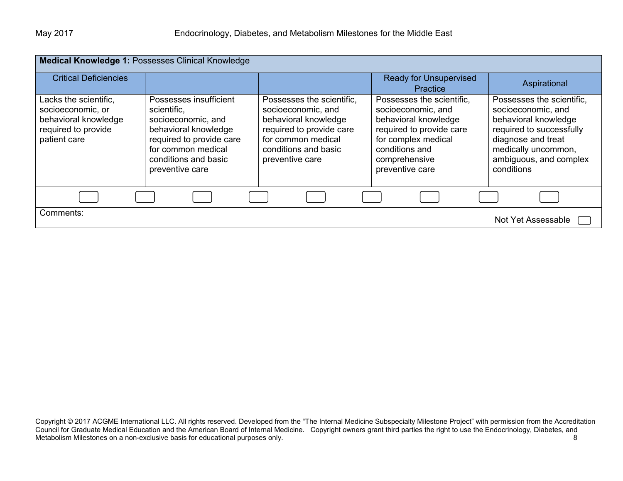| Medical Knowledge 1: Possesses Clinical Knowledge                                                         |                                                                                                                                                                                  |                                                                                                                                                                      |                                                                                                                                                                                  |                                                                                                                                                                                          |  |  |
|-----------------------------------------------------------------------------------------------------------|----------------------------------------------------------------------------------------------------------------------------------------------------------------------------------|----------------------------------------------------------------------------------------------------------------------------------------------------------------------|----------------------------------------------------------------------------------------------------------------------------------------------------------------------------------|------------------------------------------------------------------------------------------------------------------------------------------------------------------------------------------|--|--|
| <b>Critical Deficiencies</b>                                                                              |                                                                                                                                                                                  |                                                                                                                                                                      | <b>Ready for Unsupervised</b><br><b>Practice</b>                                                                                                                                 | Aspirational                                                                                                                                                                             |  |  |
| Lacks the scientific,<br>socioeconomic, or<br>behavioral knowledge<br>required to provide<br>patient care | Possesses insufficient<br>scientific,<br>socioeconomic, and<br>behavioral knowledge<br>required to provide care<br>for common medical<br>conditions and basic<br>preventive care | Possesses the scientific,<br>socioeconomic, and<br>behavioral knowledge<br>required to provide care<br>for common medical<br>conditions and basic<br>preventive care | Possesses the scientific,<br>socioeconomic, and<br>behavioral knowledge<br>required to provide care<br>for complex medical<br>conditions and<br>comprehensive<br>preventive care | Possesses the scientific,<br>socioeconomic, and<br>behavioral knowledge<br>required to successfully<br>diagnose and treat<br>medically uncommon,<br>ambiguous, and complex<br>conditions |  |  |
|                                                                                                           |                                                                                                                                                                                  |                                                                                                                                                                      |                                                                                                                                                                                  |                                                                                                                                                                                          |  |  |
| Comments:                                                                                                 |                                                                                                                                                                                  |                                                                                                                                                                      |                                                                                                                                                                                  | Not Yet Assessable                                                                                                                                                                       |  |  |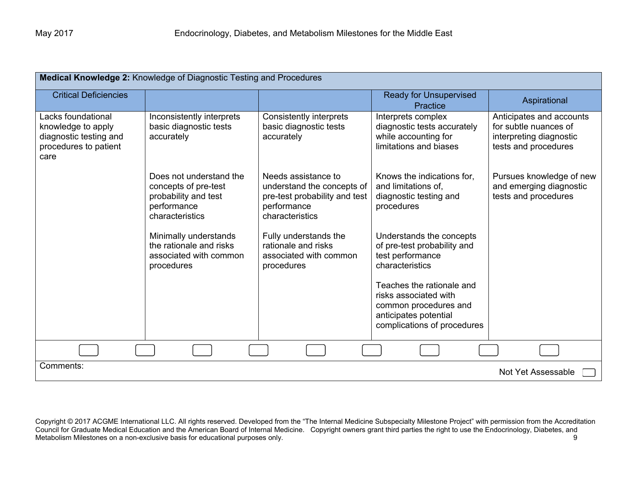| Medical Knowledge 2: Knowledge of Diagnostic Testing and Procedures                                 |                                                                                                           |                                                                                                                      |                                                                                                                                     |                                                                                                      |  |  |
|-----------------------------------------------------------------------------------------------------|-----------------------------------------------------------------------------------------------------------|----------------------------------------------------------------------------------------------------------------------|-------------------------------------------------------------------------------------------------------------------------------------|------------------------------------------------------------------------------------------------------|--|--|
| <b>Critical Deficiencies</b>                                                                        |                                                                                                           |                                                                                                                      | <b>Ready for Unsupervised</b><br>Practice                                                                                           | Aspirational                                                                                         |  |  |
| Lacks foundational<br>knowledge to apply<br>diagnostic testing and<br>procedures to patient<br>care | Inconsistently interprets<br>basic diagnostic tests<br>accurately                                         | <b>Consistently interprets</b><br>basic diagnostic tests<br>accurately                                               | Interprets complex<br>diagnostic tests accurately<br>while accounting for<br>limitations and biases                                 | Anticipates and accounts<br>for subtle nuances of<br>interpreting diagnostic<br>tests and procedures |  |  |
|                                                                                                     | Does not understand the<br>concepts of pre-test<br>probability and test<br>performance<br>characteristics | Needs assistance to<br>understand the concepts of<br>pre-test probability and test<br>performance<br>characteristics | Knows the indications for,<br>and limitations of.<br>diagnostic testing and<br>procedures                                           | Pursues knowledge of new<br>and emerging diagnostic<br>tests and procedures                          |  |  |
|                                                                                                     | Minimally understands<br>the rationale and risks<br>associated with common<br>procedures                  | Fully understands the<br>rationale and risks<br>associated with common<br>procedures                                 | Understands the concepts<br>of pre-test probability and<br>test performance<br>characteristics                                      |                                                                                                      |  |  |
|                                                                                                     |                                                                                                           |                                                                                                                      | Teaches the rationale and<br>risks associated with<br>common procedures and<br>anticipates potential<br>complications of procedures |                                                                                                      |  |  |
|                                                                                                     |                                                                                                           |                                                                                                                      |                                                                                                                                     |                                                                                                      |  |  |
| Comments:<br>Not Yet Assessable                                                                     |                                                                                                           |                                                                                                                      |                                                                                                                                     |                                                                                                      |  |  |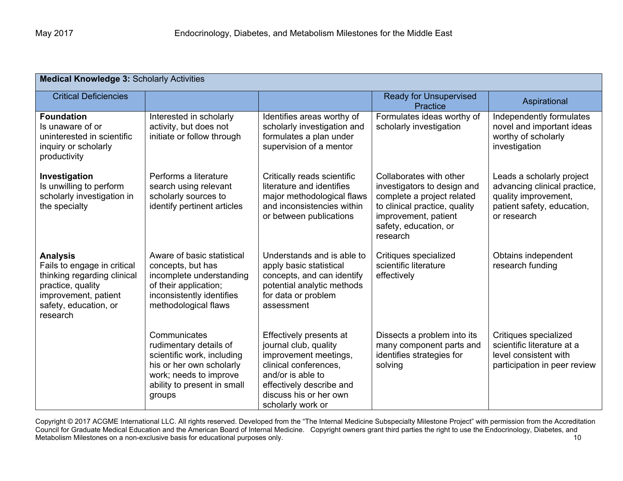| <b>Medical Knowledge 3: Scholarly Activities</b>                                                                                                                |                                                                                                                                                                     |                                                                                                                                                                                                    |                                                                                                                                                                                    |                                                                                                                                |  |  |
|-----------------------------------------------------------------------------------------------------------------------------------------------------------------|---------------------------------------------------------------------------------------------------------------------------------------------------------------------|----------------------------------------------------------------------------------------------------------------------------------------------------------------------------------------------------|------------------------------------------------------------------------------------------------------------------------------------------------------------------------------------|--------------------------------------------------------------------------------------------------------------------------------|--|--|
| <b>Critical Deficiencies</b>                                                                                                                                    |                                                                                                                                                                     |                                                                                                                                                                                                    | <b>Ready for Unsupervised</b><br>Practice                                                                                                                                          | Aspirational                                                                                                                   |  |  |
| <b>Foundation</b><br>Is unaware of or<br>uninterested in scientific<br>inquiry or scholarly<br>productivity                                                     | Interested in scholarly<br>activity, but does not<br>initiate or follow through                                                                                     | Identifies areas worthy of<br>scholarly investigation and<br>formulates a plan under<br>supervision of a mentor                                                                                    | Formulates ideas worthy of<br>scholarly investigation                                                                                                                              | Independently formulates<br>novel and important ideas<br>worthy of scholarly<br>investigation                                  |  |  |
| Investigation<br>Is unwilling to perform<br>scholarly investigation in<br>the specialty                                                                         | Performs a literature<br>search using relevant<br>scholarly sources to<br>identify pertinent articles                                                               | Critically reads scientific<br>literature and identifies<br>major methodological flaws<br>and inconsistencies within<br>or between publications                                                    | Collaborates with other<br>investigators to design and<br>complete a project related<br>to clinical practice, quality<br>improvement, patient<br>safety, education, or<br>research | Leads a scholarly project<br>advancing clinical practice,<br>quality improvement,<br>patient safety, education,<br>or research |  |  |
| <b>Analysis</b><br>Fails to engage in critical<br>thinking regarding clinical<br>practice, quality<br>improvement, patient<br>safety, education, or<br>research | Aware of basic statistical<br>concepts, but has<br>incomplete understanding<br>of their application;<br>inconsistently identifies<br>methodological flaws           | Understands and is able to<br>apply basic statistical<br>concepts, and can identify<br>potential analytic methods<br>for data or problem<br>assessment                                             | Critiques specialized<br>scientific literature<br>effectively                                                                                                                      | Obtains independent<br>research funding                                                                                        |  |  |
|                                                                                                                                                                 | Communicates<br>rudimentary details of<br>scientific work, including<br>his or her own scholarly<br>work; needs to improve<br>ability to present in small<br>groups | Effectively presents at<br>journal club, quality<br>improvement meetings,<br>clinical conferences.<br>and/or is able to<br>effectively describe and<br>discuss his or her own<br>scholarly work or | Dissects a problem into its<br>many component parts and<br>identifies strategies for<br>solving                                                                                    | Critiques specialized<br>scientific literature at a<br>level consistent with<br>participation in peer review                   |  |  |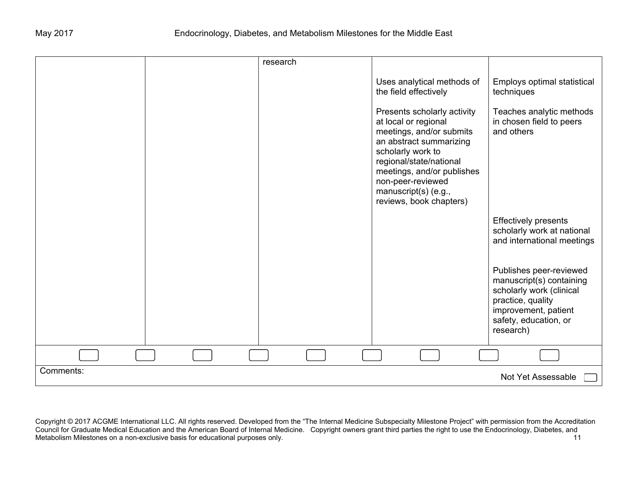|           | research |                                                                                                                                                                                                                                                                  |                                                                                                                                                                    |
|-----------|----------|------------------------------------------------------------------------------------------------------------------------------------------------------------------------------------------------------------------------------------------------------------------|--------------------------------------------------------------------------------------------------------------------------------------------------------------------|
|           |          | Uses analytical methods of<br>the field effectively                                                                                                                                                                                                              | Employs optimal statistical<br>techniques                                                                                                                          |
|           |          | Presents scholarly activity<br>at local or regional<br>meetings, and/or submits<br>an abstract summarizing<br>scholarly work to<br>regional/state/national<br>meetings, and/or publishes<br>non-peer-reviewed<br>manuscript(s) (e.g.,<br>reviews, book chapters) | Teaches analytic methods<br>in chosen field to peers<br>and others                                                                                                 |
|           |          |                                                                                                                                                                                                                                                                  | <b>Effectively presents</b><br>scholarly work at national<br>and international meetings                                                                            |
|           |          |                                                                                                                                                                                                                                                                  | Publishes peer-reviewed<br>manuscript(s) containing<br>scholarly work (clinical<br>practice, quality<br>improvement, patient<br>safety, education, or<br>research) |
|           |          |                                                                                                                                                                                                                                                                  |                                                                                                                                                                    |
| Comments: |          |                                                                                                                                                                                                                                                                  | Not Yet Assessable                                                                                                                                                 |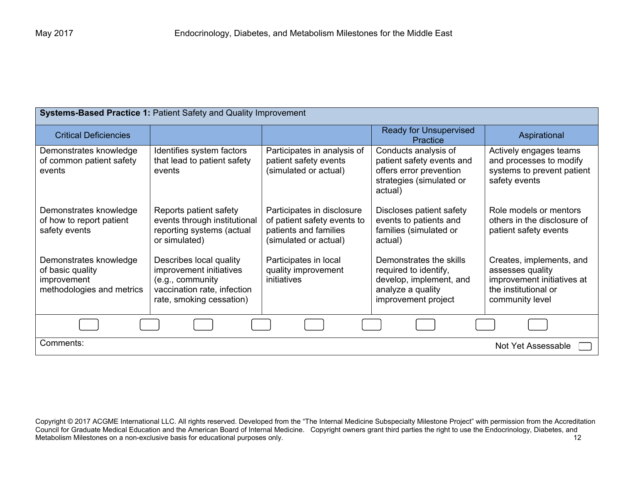| <b>Systems-Based Practice 1: Patient Safety and Quality Improvement</b>                |                                                                                                                                   |                                                                                                             |                                                                                                                         |                                                                                                                       |
|----------------------------------------------------------------------------------------|-----------------------------------------------------------------------------------------------------------------------------------|-------------------------------------------------------------------------------------------------------------|-------------------------------------------------------------------------------------------------------------------------|-----------------------------------------------------------------------------------------------------------------------|
| <b>Critical Deficiencies</b>                                                           |                                                                                                                                   |                                                                                                             | <b>Ready for Unsupervised</b><br>Practice                                                                               | Aspirational                                                                                                          |
| Demonstrates knowledge<br>of common patient safety<br>events                           | Identifies system factors<br>that lead to patient safety<br>events                                                                | Participates in analysis of<br>patient safety events<br>(simulated or actual)                               | Conducts analysis of<br>patient safety events and<br>offers error prevention<br>strategies (simulated or<br>actual)     | Actively engages teams<br>and processes to modify<br>systems to prevent patient<br>safety events                      |
| Demonstrates knowledge<br>of how to report patient<br>safety events                    | Reports patient safety<br>events through institutional<br>reporting systems (actual<br>or simulated)                              | Participates in disclosure<br>of patient safety events to<br>patients and families<br>(simulated or actual) | Discloses patient safety<br>events to patients and<br>families (simulated or<br>actual)                                 | Role models or mentors<br>others in the disclosure of<br>patient safety events                                        |
| Demonstrates knowledge<br>of basic quality<br>improvement<br>methodologies and metrics | Describes local quality<br>improvement initiatives<br>(e.g., community<br>vaccination rate, infection<br>rate, smoking cessation) | Participates in local<br>quality improvement<br>initiatives                                                 | Demonstrates the skills<br>required to identify,<br>develop, implement, and<br>analyze a quality<br>improvement project | Creates, implements, and<br>assesses quality<br>improvement initiatives at<br>the institutional or<br>community level |
|                                                                                        |                                                                                                                                   |                                                                                                             |                                                                                                                         |                                                                                                                       |
| Comments:<br>Not Yet Assessable                                                        |                                                                                                                                   |                                                                                                             |                                                                                                                         |                                                                                                                       |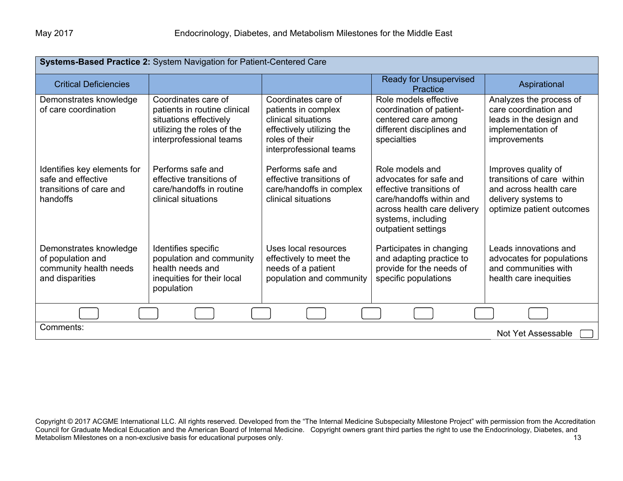| Systems-Based Practice 2: System Navigation for Patient-Centered Care                    |                                                                                                                                        |                                                                                                                                             |                                                                                                                                                                               |                                                                                                                                 |
|------------------------------------------------------------------------------------------|----------------------------------------------------------------------------------------------------------------------------------------|---------------------------------------------------------------------------------------------------------------------------------------------|-------------------------------------------------------------------------------------------------------------------------------------------------------------------------------|---------------------------------------------------------------------------------------------------------------------------------|
| <b>Critical Deficiencies</b>                                                             |                                                                                                                                        |                                                                                                                                             | <b>Ready for Unsupervised</b><br>Practice                                                                                                                                     | Aspirational                                                                                                                    |
| Demonstrates knowledge<br>of care coordination                                           | Coordinates care of<br>patients in routine clinical<br>situations effectively<br>utilizing the roles of the<br>interprofessional teams | Coordinates care of<br>patients in complex<br>clinical situations<br>effectively utilizing the<br>roles of their<br>interprofessional teams | Role models effective<br>coordination of patient-<br>centered care among<br>different disciplines and<br>specialties                                                          | Analyzes the process of<br>care coordination and<br>leads in the design and<br>implementation of<br>improvements                |
| Identifies key elements for<br>safe and effective<br>transitions of care and<br>handoffs | Performs safe and<br>effective transitions of<br>care/handoffs in routine<br>clinical situations                                       | Performs safe and<br>effective transitions of<br>care/handoffs in complex<br>clinical situations                                            | Role models and<br>advocates for safe and<br>effective transitions of<br>care/handoffs within and<br>across health care delivery<br>systems, including<br>outpatient settings | Improves quality of<br>transitions of care within<br>and across health care<br>delivery systems to<br>optimize patient outcomes |
| Demonstrates knowledge<br>of population and<br>community health needs<br>and disparities | Identifies specific<br>population and community<br>health needs and<br>inequities for their local<br>population                        | Uses local resources<br>effectively to meet the<br>needs of a patient<br>population and community                                           | Participates in changing<br>and adapting practice to<br>provide for the needs of<br>specific populations                                                                      | Leads innovations and<br>advocates for populations<br>and communities with<br>health care inequities                            |
|                                                                                          |                                                                                                                                        |                                                                                                                                             |                                                                                                                                                                               |                                                                                                                                 |
| Comments:<br>Not Yet Assessable                                                          |                                                                                                                                        |                                                                                                                                             |                                                                                                                                                                               |                                                                                                                                 |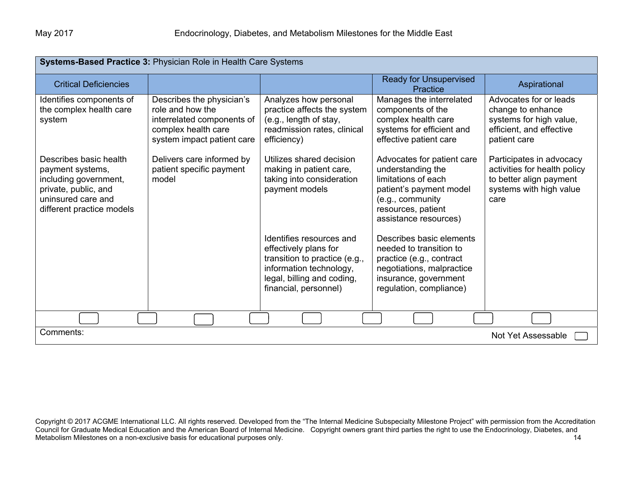| Systems-Based Practice 3: Physician Role in Health Care Systems                                                                                |                                                                                                                                  |                                                                                                                                                                      |                                                                                                                                                                      |                                                                                                                        |
|------------------------------------------------------------------------------------------------------------------------------------------------|----------------------------------------------------------------------------------------------------------------------------------|----------------------------------------------------------------------------------------------------------------------------------------------------------------------|----------------------------------------------------------------------------------------------------------------------------------------------------------------------|------------------------------------------------------------------------------------------------------------------------|
| <b>Critical Deficiencies</b>                                                                                                                   |                                                                                                                                  |                                                                                                                                                                      | <b>Ready for Unsupervised</b><br>Practice                                                                                                                            | Aspirational                                                                                                           |
| Identifies components of<br>the complex health care<br>system                                                                                  | Describes the physician's<br>role and how the<br>interrelated components of<br>complex health care<br>system impact patient care | Analyzes how personal<br>practice affects the system<br>(e.g., length of stay,<br>readmission rates, clinical<br>efficiency)                                         | Manages the interrelated<br>components of the<br>complex health care<br>systems for efficient and<br>effective patient care                                          | Advocates for or leads<br>change to enhance<br>systems for high value,<br>efficient, and effective<br>patient care     |
| Describes basic health<br>payment systems,<br>including government,<br>private, public, and<br>uninsured care and<br>different practice models | Delivers care informed by<br>patient specific payment<br>model                                                                   | Utilizes shared decision<br>making in patient care,<br>taking into consideration<br>payment models                                                                   | Advocates for patient care<br>understanding the<br>limitations of each<br>patient's payment model<br>(e.g., community<br>resources, patient<br>assistance resources) | Participates in advocacy<br>activities for health policy<br>to better align payment<br>systems with high value<br>care |
|                                                                                                                                                |                                                                                                                                  | Identifies resources and<br>effectively plans for<br>transition to practice (e.g.,<br>information technology,<br>legal, billing and coding,<br>financial, personnel) | Describes basic elements<br>needed to transition to<br>practice (e.g., contract<br>negotiations, malpractice<br>insurance, government<br>regulation, compliance)     |                                                                                                                        |
|                                                                                                                                                |                                                                                                                                  |                                                                                                                                                                      |                                                                                                                                                                      |                                                                                                                        |
| Comments:                                                                                                                                      |                                                                                                                                  |                                                                                                                                                                      |                                                                                                                                                                      | Not Yet Assessable                                                                                                     |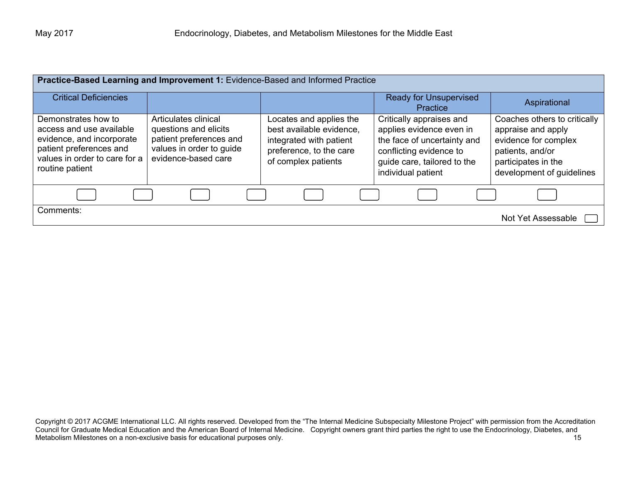| Practice-Based Learning and Improvement 1: Evidence-Based and Informed Practice                                                                             |                                                                                                                             |                                                                                                                                  |                                                                                                                                                                     |                                                                                                                                                    |
|-------------------------------------------------------------------------------------------------------------------------------------------------------------|-----------------------------------------------------------------------------------------------------------------------------|----------------------------------------------------------------------------------------------------------------------------------|---------------------------------------------------------------------------------------------------------------------------------------------------------------------|----------------------------------------------------------------------------------------------------------------------------------------------------|
| <b>Critical Deficiencies</b>                                                                                                                                |                                                                                                                             |                                                                                                                                  | <b>Ready for Unsupervised</b><br>Practice                                                                                                                           | Aspirational                                                                                                                                       |
| Demonstrates how to<br>access and use available<br>evidence, and incorporate<br>patient preferences and<br>values in order to care for a<br>routine patient | Articulates clinical<br>questions and elicits<br>patient preferences and<br>values in order to guide<br>evidence-based care | Locates and applies the<br>best available evidence,<br>integrated with patient<br>preference, to the care<br>of complex patients | Critically appraises and<br>applies evidence even in<br>the face of uncertainty and<br>conflicting evidence to<br>guide care, tailored to the<br>individual patient | Coaches others to critically<br>appraise and apply<br>evidence for complex<br>patients, and/or<br>participates in the<br>development of guidelines |
|                                                                                                                                                             |                                                                                                                             |                                                                                                                                  |                                                                                                                                                                     |                                                                                                                                                    |
| Comments:                                                                                                                                                   |                                                                                                                             |                                                                                                                                  |                                                                                                                                                                     | Not Yet Assessable                                                                                                                                 |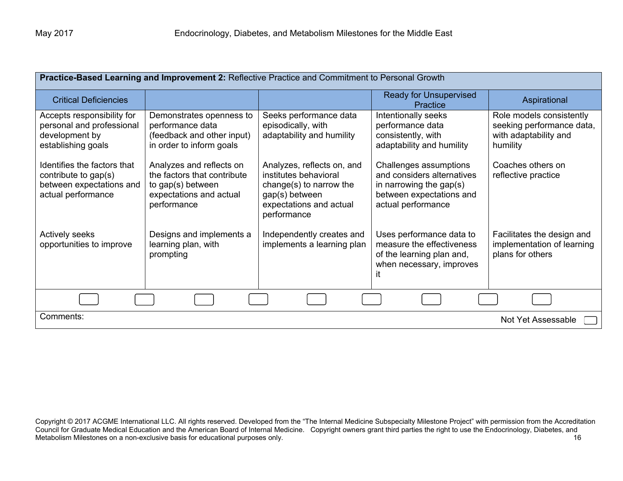| Practice-Based Learning and Improvement 2: Reflective Practice and Commitment to Personal Growth      |                                                                                                                        |                                                                                                                                            |                                                                                                                                      |                                                                                            |
|-------------------------------------------------------------------------------------------------------|------------------------------------------------------------------------------------------------------------------------|--------------------------------------------------------------------------------------------------------------------------------------------|--------------------------------------------------------------------------------------------------------------------------------------|--------------------------------------------------------------------------------------------|
| <b>Critical Deficiencies</b>                                                                          |                                                                                                                        |                                                                                                                                            | <b>Ready for Unsupervised</b><br>Practice                                                                                            | Aspirational                                                                               |
| Accepts responsibility for<br>personal and professional<br>development by<br>establishing goals       | Demonstrates openness to<br>performance data<br>(feedback and other input)<br>in order to inform goals                 | Seeks performance data<br>episodically, with<br>adaptability and humility                                                                  | Intentionally seeks<br>performance data<br>consistently, with<br>adaptability and humility                                           | Role models consistently<br>seeking performance data,<br>with adaptability and<br>humility |
| Identifies the factors that<br>contribute to gap(s)<br>between expectations and<br>actual performance | Analyzes and reflects on<br>the factors that contribute<br>to gap(s) between<br>expectations and actual<br>performance | Analyzes, reflects on, and<br>institutes behavioral<br>change(s) to narrow the<br>gap(s) between<br>expectations and actual<br>performance | Challenges assumptions<br>and considers alternatives<br>in narrowing the gap $(s)$<br>between expectations and<br>actual performance | Coaches others on<br>reflective practice                                                   |
| Actively seeks<br>opportunities to improve                                                            | Designs and implements a<br>learning plan, with<br>prompting                                                           | Independently creates and<br>implements a learning plan                                                                                    | Uses performance data to<br>measure the effectiveness<br>of the learning plan and,<br>when necessary, improves<br>it                 | Facilitates the design and<br>implementation of learning<br>plans for others               |
|                                                                                                       |                                                                                                                        |                                                                                                                                            |                                                                                                                                      |                                                                                            |
| Comments:<br>Not Yet Assessable                                                                       |                                                                                                                        |                                                                                                                                            |                                                                                                                                      |                                                                                            |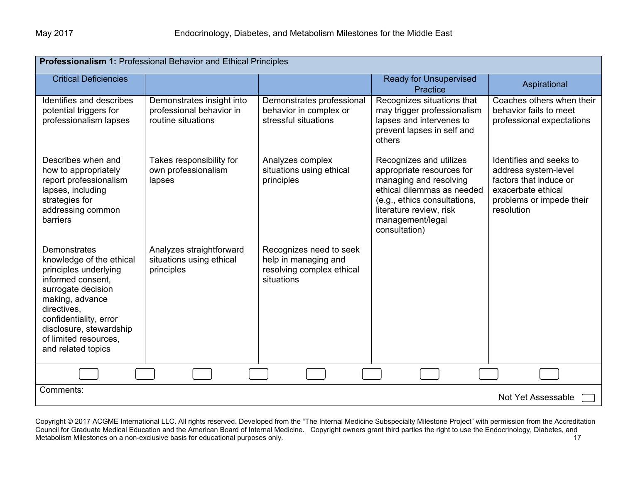| Professionalism 1: Professional Behavior and Ethical Principles                                                                                                                                                                                    |                                                                             |                                                                                            |                                                                                                                                                                                                              |                                                                                                                                           |  |
|----------------------------------------------------------------------------------------------------------------------------------------------------------------------------------------------------------------------------------------------------|-----------------------------------------------------------------------------|--------------------------------------------------------------------------------------------|--------------------------------------------------------------------------------------------------------------------------------------------------------------------------------------------------------------|-------------------------------------------------------------------------------------------------------------------------------------------|--|
| <b>Critical Deficiencies</b>                                                                                                                                                                                                                       |                                                                             |                                                                                            | <b>Ready for Unsupervised</b><br>Practice                                                                                                                                                                    | Aspirational                                                                                                                              |  |
| Identifies and describes<br>potential triggers for<br>professionalism lapses                                                                                                                                                                       | Demonstrates insight into<br>professional behavior in<br>routine situations | Demonstrates professional<br>behavior in complex or<br>stressful situations                | Recognizes situations that<br>may trigger professionalism<br>lapses and intervenes to<br>prevent lapses in self and<br>others                                                                                | Coaches others when their<br>behavior fails to meet<br>professional expectations                                                          |  |
| Describes when and<br>how to appropriately<br>report professionalism<br>lapses, including<br>strategies for<br>addressing common<br>barriers                                                                                                       | Takes responsibility for<br>own professionalism<br>lapses                   | Analyzes complex<br>situations using ethical<br>principles                                 | Recognizes and utilizes<br>appropriate resources for<br>managing and resolving<br>ethical dilemmas as needed<br>(e.g., ethics consultations,<br>literature review, risk<br>management/legal<br>consultation) | Identifies and seeks to<br>address system-level<br>factors that induce or<br>exacerbate ethical<br>problems or impede their<br>resolution |  |
| Demonstrates<br>knowledge of the ethical<br>principles underlying<br>informed consent,<br>surrogate decision<br>making, advance<br>directives,<br>confidentiality, error<br>disclosure, stewardship<br>of limited resources,<br>and related topics | Analyzes straightforward<br>situations using ethical<br>principles          | Recognizes need to seek<br>help in managing and<br>resolving complex ethical<br>situations |                                                                                                                                                                                                              |                                                                                                                                           |  |
|                                                                                                                                                                                                                                                    |                                                                             |                                                                                            |                                                                                                                                                                                                              |                                                                                                                                           |  |
| Comments:<br>Not Yet Assessable                                                                                                                                                                                                                    |                                                                             |                                                                                            |                                                                                                                                                                                                              |                                                                                                                                           |  |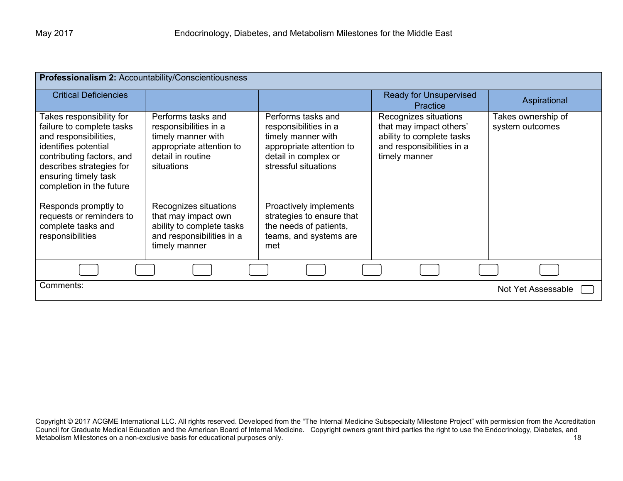| Professionalism 2: Accountability/Conscientiousness                                                                                                                                                                 |                                                                                                                                  |                                                                                                                                               |                                                                                                                             |                                       |
|---------------------------------------------------------------------------------------------------------------------------------------------------------------------------------------------------------------------|----------------------------------------------------------------------------------------------------------------------------------|-----------------------------------------------------------------------------------------------------------------------------------------------|-----------------------------------------------------------------------------------------------------------------------------|---------------------------------------|
| <b>Critical Deficiencies</b>                                                                                                                                                                                        |                                                                                                                                  |                                                                                                                                               | <b>Ready for Unsupervised</b><br><b>Practice</b>                                                                            | Aspirational                          |
| Takes responsibility for<br>failure to complete tasks<br>and responsibilities,<br>identifies potential<br>contributing factors, and<br>describes strategies for<br>ensuring timely task<br>completion in the future | Performs tasks and<br>responsibilities in a<br>timely manner with<br>appropriate attention to<br>detail in routine<br>situations | Performs tasks and<br>responsibilities in a<br>timely manner with<br>appropriate attention to<br>detail in complex or<br>stressful situations | Recognizes situations<br>that may impact others'<br>ability to complete tasks<br>and responsibilities in a<br>timely manner | Takes ownership of<br>system outcomes |
| Responds promptly to<br>requests or reminders to<br>complete tasks and<br>responsibilities                                                                                                                          | Recognizes situations<br>that may impact own<br>ability to complete tasks<br>and responsibilities in a<br>timely manner          | Proactively implements<br>strategies to ensure that<br>the needs of patients,<br>teams, and systems are<br>met                                |                                                                                                                             |                                       |
|                                                                                                                                                                                                                     |                                                                                                                                  |                                                                                                                                               |                                                                                                                             |                                       |
| Comments:                                                                                                                                                                                                           |                                                                                                                                  |                                                                                                                                               |                                                                                                                             | Not Yet Assessable                    |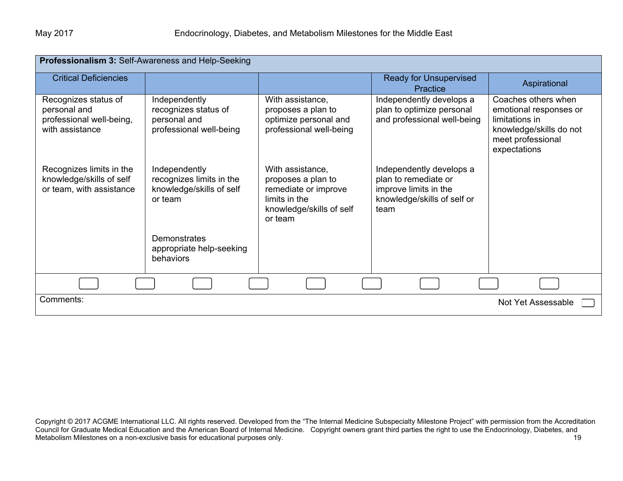| Professionalism 3: Self-Awareness and Help-Seeking                                  |                                                                                  |                                                                                                                        |                                                                                                                  |                                                                                                                                 |
|-------------------------------------------------------------------------------------|----------------------------------------------------------------------------------|------------------------------------------------------------------------------------------------------------------------|------------------------------------------------------------------------------------------------------------------|---------------------------------------------------------------------------------------------------------------------------------|
| <b>Critical Deficiencies</b>                                                        |                                                                                  |                                                                                                                        | <b>Ready for Unsupervised</b><br>Practice                                                                        | Aspirational                                                                                                                    |
| Recognizes status of<br>personal and<br>professional well-being,<br>with assistance | Independently<br>recognizes status of<br>personal and<br>professional well-being | With assistance,<br>proposes a plan to<br>optimize personal and<br>professional well-being                             | Independently develops a<br>plan to optimize personal<br>and professional well-being                             | Coaches others when<br>emotional responses or<br>limitations in<br>knowledge/skills do not<br>meet professional<br>expectations |
| Recognizes limits in the<br>knowledge/skills of self<br>or team, with assistance    | Independently<br>recognizes limits in the<br>knowledge/skills of self<br>or team | With assistance,<br>proposes a plan to<br>remediate or improve<br>limits in the<br>knowledge/skills of self<br>or team | Independently develops a<br>plan to remediate or<br>improve limits in the<br>knowledge/skills of self or<br>team |                                                                                                                                 |
|                                                                                     | <b>Demonstrates</b><br>appropriate help-seeking<br>behaviors                     |                                                                                                                        |                                                                                                                  |                                                                                                                                 |
|                                                                                     |                                                                                  |                                                                                                                        |                                                                                                                  |                                                                                                                                 |
| Comments:                                                                           |                                                                                  |                                                                                                                        |                                                                                                                  | Not Yet Assessable                                                                                                              |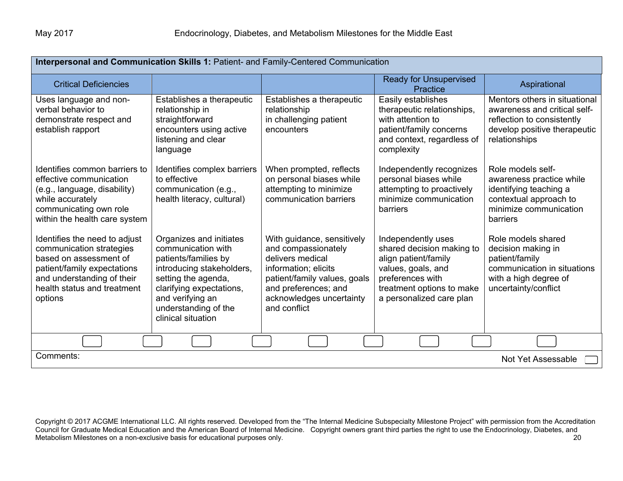| Interpersonal and Communication Skills 1: Patient- and Family-Centered Communication                                                                                                       |                                                                                                                                                                                                                         |                                                                                                                                                                                                   |                                                                                                                                                                            |                                                                                                                                              |  |
|--------------------------------------------------------------------------------------------------------------------------------------------------------------------------------------------|-------------------------------------------------------------------------------------------------------------------------------------------------------------------------------------------------------------------------|---------------------------------------------------------------------------------------------------------------------------------------------------------------------------------------------------|----------------------------------------------------------------------------------------------------------------------------------------------------------------------------|----------------------------------------------------------------------------------------------------------------------------------------------|--|
| <b>Critical Deficiencies</b>                                                                                                                                                               |                                                                                                                                                                                                                         |                                                                                                                                                                                                   | <b>Ready for Unsupervised</b><br>Practice                                                                                                                                  | Aspirational                                                                                                                                 |  |
| Uses language and non-<br>verbal behavior to<br>demonstrate respect and<br>establish rapport                                                                                               | Establishes a therapeutic<br>relationship in<br>straightforward<br>encounters using active<br>listening and clear<br>language                                                                                           | Establishes a therapeutic<br>relationship<br>in challenging patient<br>encounters                                                                                                                 | Easily establishes<br>therapeutic relationships,<br>with attention to<br>patient/family concerns<br>and context, regardless of<br>complexity                               | Mentors others in situational<br>awareness and critical self-<br>reflection to consistently<br>develop positive therapeutic<br>relationships |  |
| Identifies common barriers to<br>effective communication<br>(e.g., language, disability)<br>while accurately<br>communicating own role<br>within the health care system                    | Identifies complex barriers<br>to effective<br>communication (e.g.,<br>health literacy, cultural)                                                                                                                       | When prompted, reflects<br>on personal biases while<br>attempting to minimize<br>communication barriers                                                                                           | Independently recognizes<br>personal biases while<br>attempting to proactively<br>minimize communication<br>barriers                                                       | Role models self-<br>awareness practice while<br>identifying teaching a<br>contextual approach to<br>minimize communication<br>barriers      |  |
| Identifies the need to adjust<br>communication strategies<br>based on assessment of<br>patient/family expectations<br>and understanding of their<br>health status and treatment<br>options | Organizes and initiates<br>communication with<br>patients/families by<br>introducing stakeholders,<br>setting the agenda,<br>clarifying expectations,<br>and verifying an<br>understanding of the<br>clinical situation | With guidance, sensitively<br>and compassionately<br>delivers medical<br>information; elicits<br>patient/family values, goals<br>and preferences; and<br>acknowledges uncertainty<br>and conflict | Independently uses<br>shared decision making to<br>align patient/family<br>values, goals, and<br>preferences with<br>treatment options to make<br>a personalized care plan | Role models shared<br>decision making in<br>patient/family<br>communication in situations<br>with a high degree of<br>uncertainty/conflict   |  |
|                                                                                                                                                                                            |                                                                                                                                                                                                                         |                                                                                                                                                                                                   |                                                                                                                                                                            |                                                                                                                                              |  |
| Comments:                                                                                                                                                                                  | Not Yet Assessable                                                                                                                                                                                                      |                                                                                                                                                                                                   |                                                                                                                                                                            |                                                                                                                                              |  |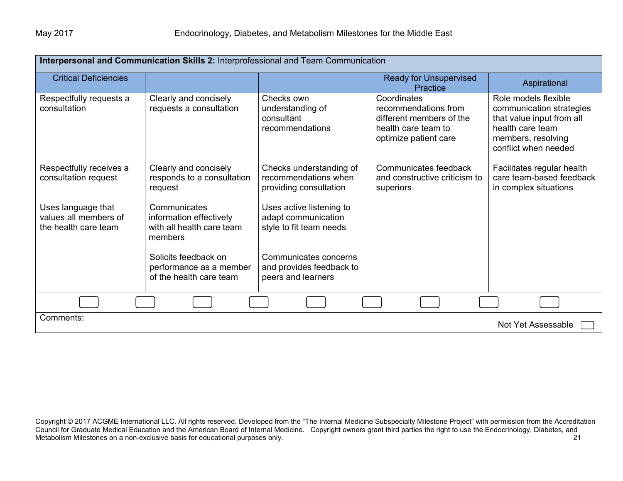| Interpersonal and Communication Skills 2: Interprofessional and Team Communication |                                                                                 |                                                                            |                                                                                                                 |                                                                                                                                                 |
|------------------------------------------------------------------------------------|---------------------------------------------------------------------------------|----------------------------------------------------------------------------|-----------------------------------------------------------------------------------------------------------------|-------------------------------------------------------------------------------------------------------------------------------------------------|
| <b>Critical Deficiencies</b>                                                       |                                                                                 |                                                                            | <b>Ready for Unsupervised</b><br>Practice                                                                       | Aspirational                                                                                                                                    |
| Respectfully requests a<br>consultation                                            | Clearly and concisely<br>requests a consultation                                | Checks own<br>understanding of<br>consultant<br>recommendations            | Coordinates<br>recommendations from<br>different members of the<br>health care team to<br>optimize patient care | Role models flexible<br>communication strategies<br>that value input from all<br>health care team<br>members, resolving<br>conflict when needed |
| Respectfully receives a<br>consultation request                                    | Clearly and concisely<br>responds to a consultation<br>request                  | Checks understanding of<br>recommendations when<br>providing consultation  | Communicates feedback<br>and constructive criticism to<br>superiors                                             | Facilitates regular health<br>care team-based feedback<br>in complex situations                                                                 |
| Uses language that<br>values all members of<br>the health care team                | Communicates<br>information effectively<br>with all health care team<br>members | Uses active listening to<br>adapt communication<br>style to fit team needs |                                                                                                                 |                                                                                                                                                 |
|                                                                                    | Solicits feedback on<br>performance as a member<br>of the health care team      | Communicates concerns<br>and provides feedback to<br>peers and learners    |                                                                                                                 |                                                                                                                                                 |
|                                                                                    |                                                                                 |                                                                            |                                                                                                                 |                                                                                                                                                 |
| Comments:<br>Not Yet Assessable                                                    |                                                                                 |                                                                            |                                                                                                                 |                                                                                                                                                 |